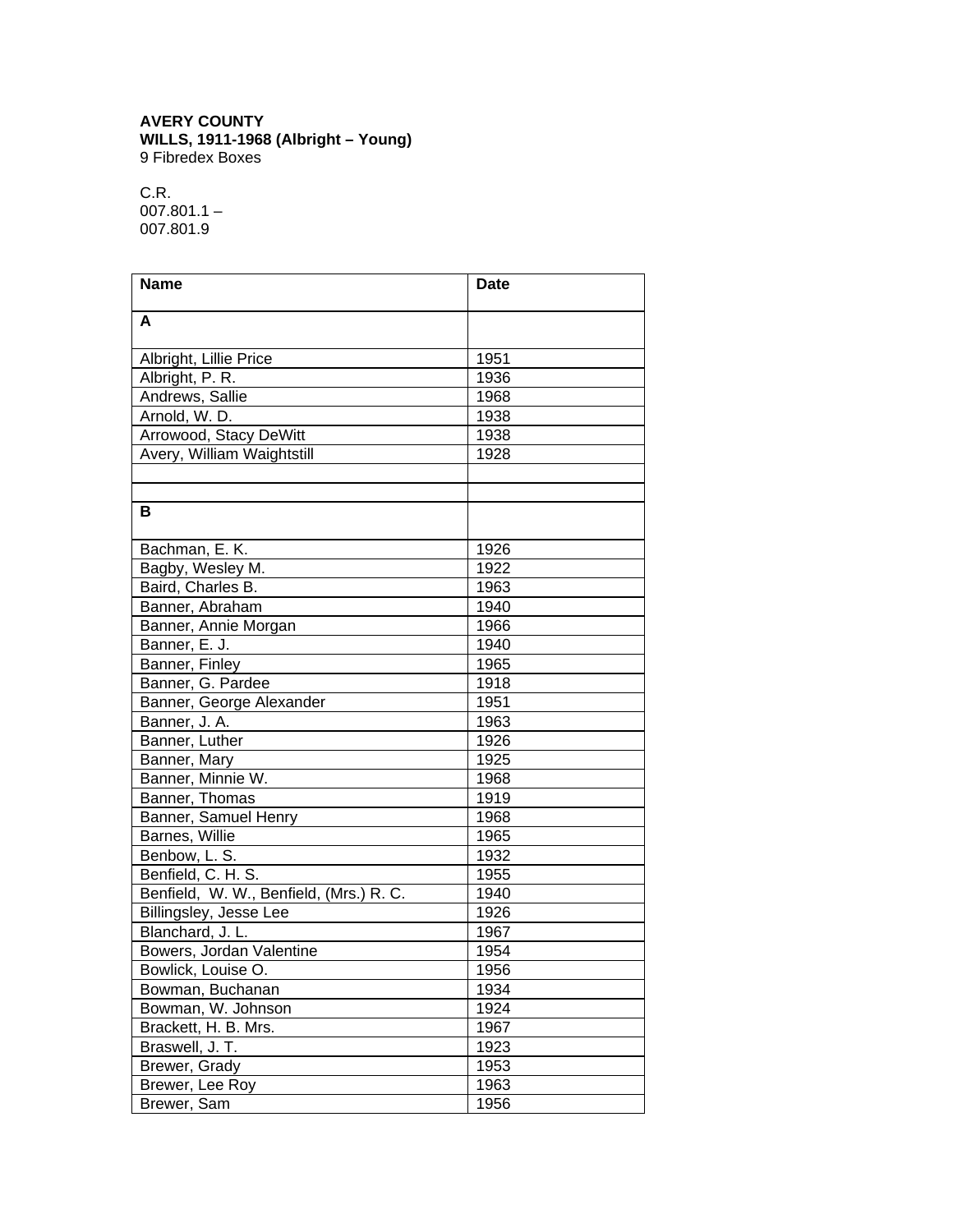## **AVERY COUNTY WILLS, 1911-1968 (Albright – Young)** 9 Fibredex Boxes

C.R.  $007.801.1 -$ 007.801.9

| <b>Name</b>                             | <b>Date</b> |
|-----------------------------------------|-------------|
| A                                       |             |
|                                         |             |
| Albright, Lillie Price                  | 1951        |
| Albright, P. R.                         | 1936        |
| Andrews, Sallie                         | 1968        |
| Arnold, W. D.                           | 1938        |
| Arrowood, Stacy DeWitt                  | 1938        |
| Avery, William Waightstill              | 1928        |
|                                         |             |
|                                         |             |
| в                                       |             |
| Bachman, E. K.                          | 1926        |
| Bagby, Wesley M.                        | 1922        |
| Baird, Charles B.                       | 1963        |
| Banner, Abraham                         | 1940        |
| Banner, Annie Morgan                    | 1966        |
| Banner, E. J.                           | 1940        |
| Banner, Finley                          | 1965        |
| Banner, G. Pardee                       | 1918        |
| Banner, George Alexander                | 1951        |
| Banner, J. A.                           | 1963        |
| Banner, Luther                          | 1926        |
| Banner, Mary                            | 1925        |
| Banner, Minnie W.                       | 1968        |
| Banner, Thomas                          | 1919        |
| Banner, Samuel Henry                    | 1968        |
| Barnes, Willie                          | 1965        |
| Benbow, L. S.                           | 1932        |
| Benfield, C. H. S.                      | 1955        |
| Benfield, W. W., Benfield, (Mrs.) R. C. | 1940        |
| Billingsley, Jesse Lee                  | 1926        |
| Blanchard, J. L.                        | 1967        |
| Bowers, Jordan Valentine                | 1954        |
| Bowlick, Louise O.                      | 1956        |
| Bowman, Buchanan                        | 1934        |
| Bowman, W. Johnson                      | 1924        |
| Brackett, H. B. Mrs.                    | 1967        |
| Braswell, J. T.                         | 1923        |
| Brewer, Grady                           | 1953        |
| Brewer, Lee Roy                         | 1963        |
| Brewer, Sam                             | 1956        |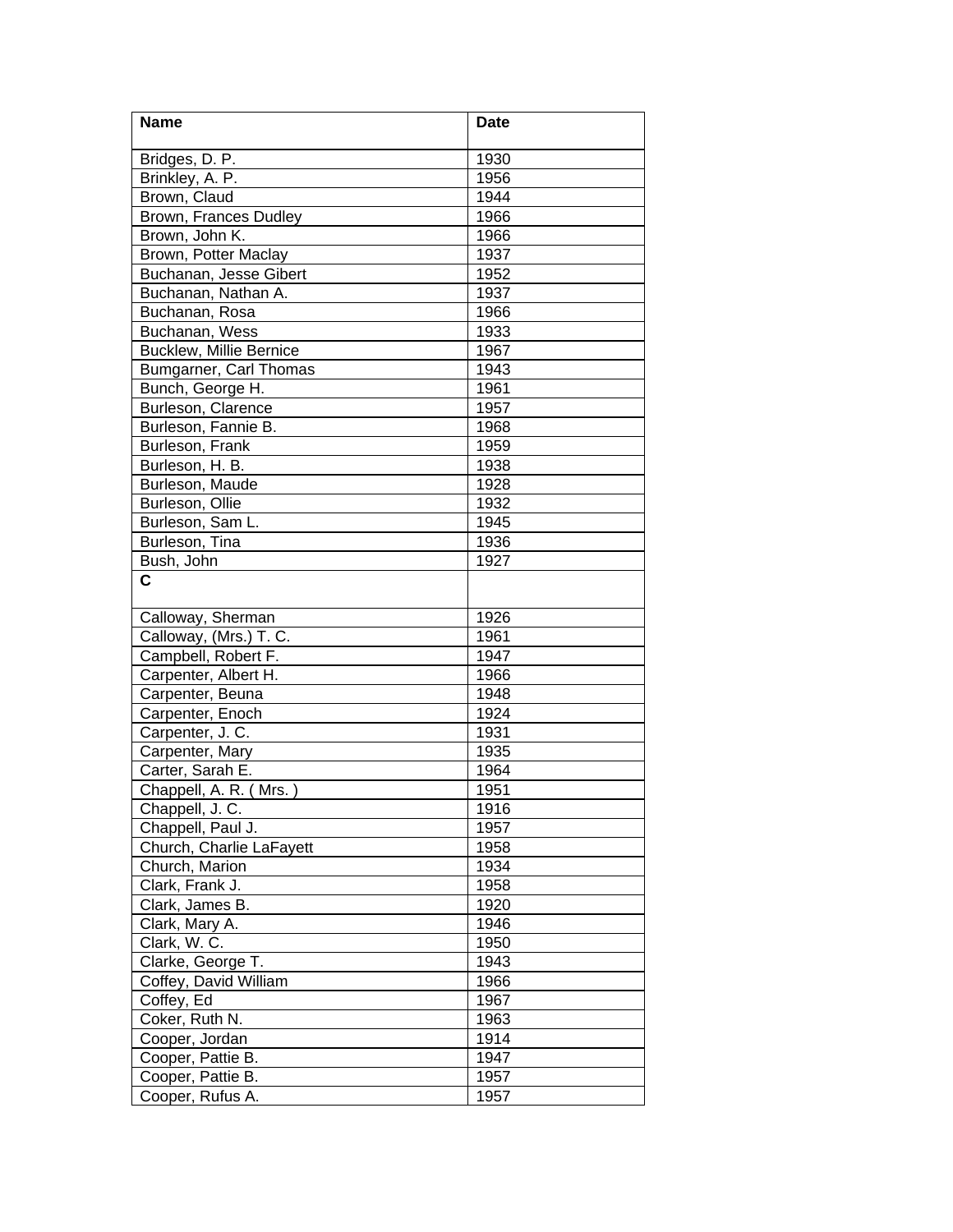| Name                     | <b>Date</b> |
|--------------------------|-------------|
| Bridges, D. P.           | 1930        |
| Brinkley, A. P.          | 1956        |
| Brown, Claud             | 1944        |
| Brown, Frances Dudley    | 1966        |
| Brown, John K.           | 1966        |
| Brown, Potter Maclay     | 1937        |
| Buchanan, Jesse Gibert   | 1952        |
| Buchanan, Nathan A.      | 1937        |
| Buchanan, Rosa           | 1966        |
| Buchanan, Wess           | 1933        |
| Bucklew, Millie Bernice  | 1967        |
| Bumgarner, Carl Thomas   | 1943        |
| Bunch, George H.         | 1961        |
| Burleson, Clarence       | 1957        |
| Burleson, Fannie B.      | 1968        |
| Burleson, Frank          | 1959        |
| Burleson, H. B.          | 1938        |
| Burleson, Maude          | 1928        |
| Burleson, Ollie          | 1932        |
| Burleson, Sam L.         | 1945        |
| Burleson, Tina           | 1936        |
| Bush, John               | 1927        |
| C                        |             |
|                          |             |
| Calloway, Sherman        | 1926        |
| Calloway, (Mrs.) T. C.   | 1961        |
| Campbell, Robert F.      | 1947        |
| Carpenter, Albert H.     | 1966        |
| Carpenter, Beuna         | 1948        |
| Carpenter, Enoch         | 1924        |
| Carpenter, J. C.         | 1931        |
| Carpenter, Mary          | 1935        |
| Carter, Sarah E.         | 1964        |
| Chappell, A. R. (Mrs.)   | 1951        |
| Chappell, J. C.          | 1916        |
| Chappell, Paul J.        | 1957        |
| Church, Charlie LaFayett | 1958        |
| Church, Marion           | 1934        |
| Clark, Frank J.          | 1958        |
| Clark, James B.          | 1920        |
| Clark, Mary A.           | 1946        |
| Clark, W. C.             | 1950        |
| Clarke, George T.        | 1943        |
| Coffey, David William    | 1966        |
| Coffey, Ed               | 1967        |
| Coker, Ruth N.           | 1963        |
| Cooper, Jordan           | 1914        |
| Cooper, Pattie B.        | 1947        |
| Cooper, Pattie B.        | 1957        |
| Cooper, Rufus A.         | 1957        |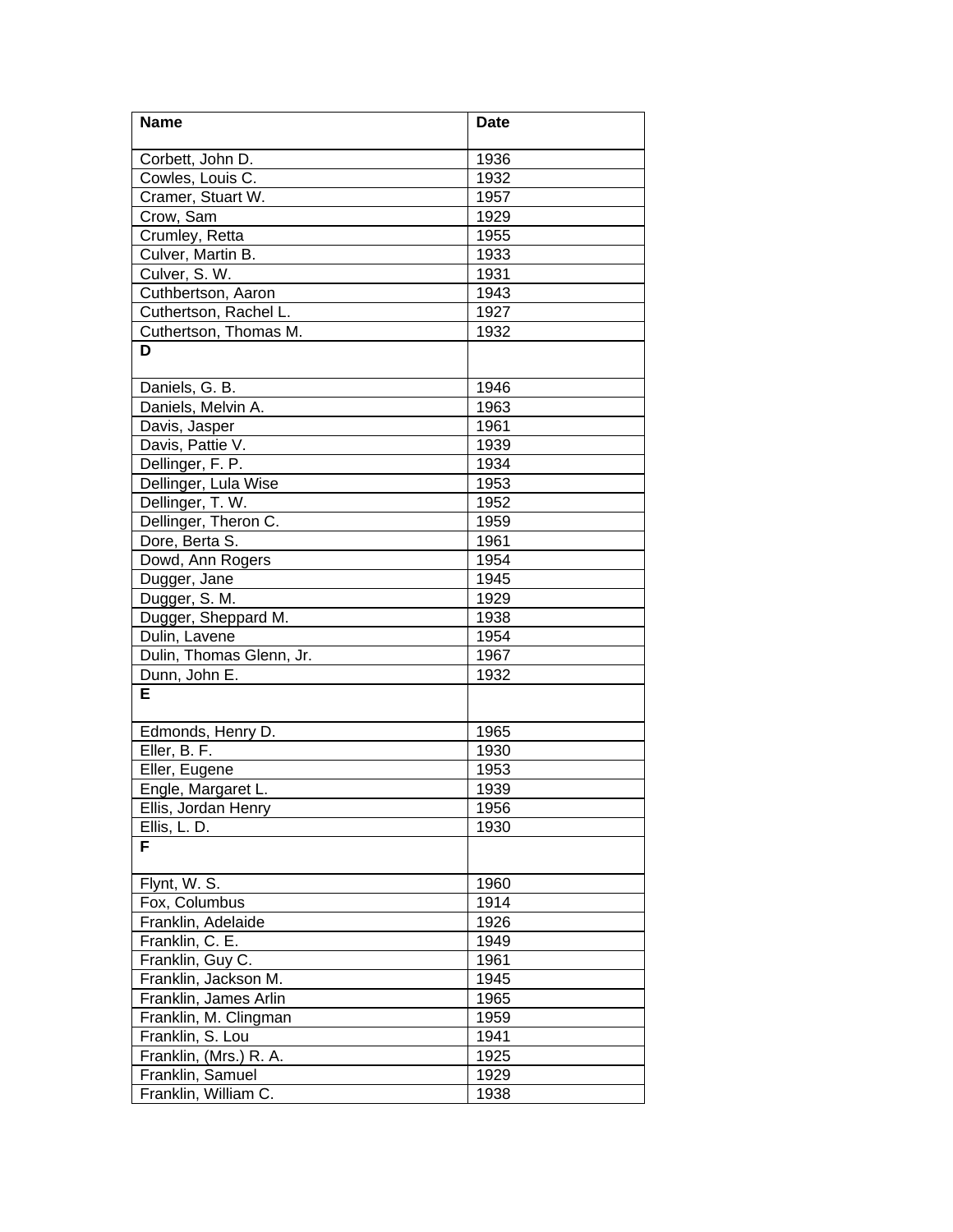| 1936<br>Corbett, John D.<br>Cowles, Louis C.<br>1932<br>Cramer, Stuart W.<br>1957<br>Crow, Sam<br>1929<br>Crumley, Retta<br>1955<br>Culver, Martin B.<br>1933<br>Culver, S. W.<br>1931<br>1943<br>Cuthbertson, Aaron<br>Cuthertson, Rachel L.<br>1927<br>Cuthertson, Thomas M.<br>1932<br>D<br>Daniels, G. B.<br>1946<br>Daniels, Melvin A.<br>1963<br>Davis, Jasper<br>1961<br>Davis, Pattie V.<br>1939<br>Dellinger, F. P.<br>1934<br>Dellinger, Lula Wise<br>1953<br>Dellinger, T. W.<br>1952<br>Dellinger, Theron C.<br>1959<br>Dore, Berta S.<br>1961<br>Dowd, Ann Rogers<br>1954<br>Dugger, Jane<br>1945<br>Dugger, S. M.<br>1929<br>Dugger, Sheppard M.<br>1938<br>1954<br>Dulin, Lavene<br>Dulin, Thomas Glenn, Jr.<br>1967<br>Dunn, John E.<br>1932<br>Е<br>Edmonds, Henry D.<br>1965<br>Eller, B. F.<br>1930<br>Eller, Eugene<br>1953<br>Engle, Margaret L.<br>1939<br>Ellis, Jordan Henry<br>1956<br>Ellis, L. D.<br>1930<br>F<br>Flynt, W. S.<br>1960<br>Fox, Columbus<br>1914<br>Franklin, Adelaide<br>1926<br>Franklin, C. E.<br>1949<br>Franklin, Guy C.<br>1961<br>Franklin, Jackson M.<br>1945<br>1965<br>Franklin, James Arlin<br>1959<br>Franklin, M. Clingman<br>Franklin, S. Lou<br>1941<br>Franklin, (Mrs.) R. A.<br>1925<br>Franklin, Samuel<br>1929 | <b>Name</b>          | <b>Date</b> |
|-----------------------------------------------------------------------------------------------------------------------------------------------------------------------------------------------------------------------------------------------------------------------------------------------------------------------------------------------------------------------------------------------------------------------------------------------------------------------------------------------------------------------------------------------------------------------------------------------------------------------------------------------------------------------------------------------------------------------------------------------------------------------------------------------------------------------------------------------------------------------------------------------------------------------------------------------------------------------------------------------------------------------------------------------------------------------------------------------------------------------------------------------------------------------------------------------------------------------------------------------------------------------------|----------------------|-------------|
|                                                                                                                                                                                                                                                                                                                                                                                                                                                                                                                                                                                                                                                                                                                                                                                                                                                                                                                                                                                                                                                                                                                                                                                                                                                                             |                      |             |
|                                                                                                                                                                                                                                                                                                                                                                                                                                                                                                                                                                                                                                                                                                                                                                                                                                                                                                                                                                                                                                                                                                                                                                                                                                                                             |                      |             |
|                                                                                                                                                                                                                                                                                                                                                                                                                                                                                                                                                                                                                                                                                                                                                                                                                                                                                                                                                                                                                                                                                                                                                                                                                                                                             |                      |             |
|                                                                                                                                                                                                                                                                                                                                                                                                                                                                                                                                                                                                                                                                                                                                                                                                                                                                                                                                                                                                                                                                                                                                                                                                                                                                             |                      |             |
|                                                                                                                                                                                                                                                                                                                                                                                                                                                                                                                                                                                                                                                                                                                                                                                                                                                                                                                                                                                                                                                                                                                                                                                                                                                                             |                      |             |
|                                                                                                                                                                                                                                                                                                                                                                                                                                                                                                                                                                                                                                                                                                                                                                                                                                                                                                                                                                                                                                                                                                                                                                                                                                                                             |                      |             |
|                                                                                                                                                                                                                                                                                                                                                                                                                                                                                                                                                                                                                                                                                                                                                                                                                                                                                                                                                                                                                                                                                                                                                                                                                                                                             |                      |             |
|                                                                                                                                                                                                                                                                                                                                                                                                                                                                                                                                                                                                                                                                                                                                                                                                                                                                                                                                                                                                                                                                                                                                                                                                                                                                             |                      |             |
|                                                                                                                                                                                                                                                                                                                                                                                                                                                                                                                                                                                                                                                                                                                                                                                                                                                                                                                                                                                                                                                                                                                                                                                                                                                                             |                      |             |
|                                                                                                                                                                                                                                                                                                                                                                                                                                                                                                                                                                                                                                                                                                                                                                                                                                                                                                                                                                                                                                                                                                                                                                                                                                                                             |                      |             |
|                                                                                                                                                                                                                                                                                                                                                                                                                                                                                                                                                                                                                                                                                                                                                                                                                                                                                                                                                                                                                                                                                                                                                                                                                                                                             |                      |             |
|                                                                                                                                                                                                                                                                                                                                                                                                                                                                                                                                                                                                                                                                                                                                                                                                                                                                                                                                                                                                                                                                                                                                                                                                                                                                             |                      |             |
|                                                                                                                                                                                                                                                                                                                                                                                                                                                                                                                                                                                                                                                                                                                                                                                                                                                                                                                                                                                                                                                                                                                                                                                                                                                                             |                      |             |
|                                                                                                                                                                                                                                                                                                                                                                                                                                                                                                                                                                                                                                                                                                                                                                                                                                                                                                                                                                                                                                                                                                                                                                                                                                                                             |                      |             |
|                                                                                                                                                                                                                                                                                                                                                                                                                                                                                                                                                                                                                                                                                                                                                                                                                                                                                                                                                                                                                                                                                                                                                                                                                                                                             |                      |             |
|                                                                                                                                                                                                                                                                                                                                                                                                                                                                                                                                                                                                                                                                                                                                                                                                                                                                                                                                                                                                                                                                                                                                                                                                                                                                             |                      |             |
|                                                                                                                                                                                                                                                                                                                                                                                                                                                                                                                                                                                                                                                                                                                                                                                                                                                                                                                                                                                                                                                                                                                                                                                                                                                                             |                      |             |
|                                                                                                                                                                                                                                                                                                                                                                                                                                                                                                                                                                                                                                                                                                                                                                                                                                                                                                                                                                                                                                                                                                                                                                                                                                                                             |                      |             |
|                                                                                                                                                                                                                                                                                                                                                                                                                                                                                                                                                                                                                                                                                                                                                                                                                                                                                                                                                                                                                                                                                                                                                                                                                                                                             |                      |             |
|                                                                                                                                                                                                                                                                                                                                                                                                                                                                                                                                                                                                                                                                                                                                                                                                                                                                                                                                                                                                                                                                                                                                                                                                                                                                             |                      |             |
|                                                                                                                                                                                                                                                                                                                                                                                                                                                                                                                                                                                                                                                                                                                                                                                                                                                                                                                                                                                                                                                                                                                                                                                                                                                                             |                      |             |
|                                                                                                                                                                                                                                                                                                                                                                                                                                                                                                                                                                                                                                                                                                                                                                                                                                                                                                                                                                                                                                                                                                                                                                                                                                                                             |                      |             |
|                                                                                                                                                                                                                                                                                                                                                                                                                                                                                                                                                                                                                                                                                                                                                                                                                                                                                                                                                                                                                                                                                                                                                                                                                                                                             |                      |             |
|                                                                                                                                                                                                                                                                                                                                                                                                                                                                                                                                                                                                                                                                                                                                                                                                                                                                                                                                                                                                                                                                                                                                                                                                                                                                             |                      |             |
|                                                                                                                                                                                                                                                                                                                                                                                                                                                                                                                                                                                                                                                                                                                                                                                                                                                                                                                                                                                                                                                                                                                                                                                                                                                                             |                      |             |
|                                                                                                                                                                                                                                                                                                                                                                                                                                                                                                                                                                                                                                                                                                                                                                                                                                                                                                                                                                                                                                                                                                                                                                                                                                                                             |                      |             |
|                                                                                                                                                                                                                                                                                                                                                                                                                                                                                                                                                                                                                                                                                                                                                                                                                                                                                                                                                                                                                                                                                                                                                                                                                                                                             |                      |             |
|                                                                                                                                                                                                                                                                                                                                                                                                                                                                                                                                                                                                                                                                                                                                                                                                                                                                                                                                                                                                                                                                                                                                                                                                                                                                             |                      |             |
|                                                                                                                                                                                                                                                                                                                                                                                                                                                                                                                                                                                                                                                                                                                                                                                                                                                                                                                                                                                                                                                                                                                                                                                                                                                                             |                      |             |
|                                                                                                                                                                                                                                                                                                                                                                                                                                                                                                                                                                                                                                                                                                                                                                                                                                                                                                                                                                                                                                                                                                                                                                                                                                                                             |                      |             |
|                                                                                                                                                                                                                                                                                                                                                                                                                                                                                                                                                                                                                                                                                                                                                                                                                                                                                                                                                                                                                                                                                                                                                                                                                                                                             |                      |             |
|                                                                                                                                                                                                                                                                                                                                                                                                                                                                                                                                                                                                                                                                                                                                                                                                                                                                                                                                                                                                                                                                                                                                                                                                                                                                             |                      |             |
|                                                                                                                                                                                                                                                                                                                                                                                                                                                                                                                                                                                                                                                                                                                                                                                                                                                                                                                                                                                                                                                                                                                                                                                                                                                                             |                      |             |
|                                                                                                                                                                                                                                                                                                                                                                                                                                                                                                                                                                                                                                                                                                                                                                                                                                                                                                                                                                                                                                                                                                                                                                                                                                                                             |                      |             |
|                                                                                                                                                                                                                                                                                                                                                                                                                                                                                                                                                                                                                                                                                                                                                                                                                                                                                                                                                                                                                                                                                                                                                                                                                                                                             |                      |             |
|                                                                                                                                                                                                                                                                                                                                                                                                                                                                                                                                                                                                                                                                                                                                                                                                                                                                                                                                                                                                                                                                                                                                                                                                                                                                             |                      |             |
|                                                                                                                                                                                                                                                                                                                                                                                                                                                                                                                                                                                                                                                                                                                                                                                                                                                                                                                                                                                                                                                                                                                                                                                                                                                                             |                      |             |
|                                                                                                                                                                                                                                                                                                                                                                                                                                                                                                                                                                                                                                                                                                                                                                                                                                                                                                                                                                                                                                                                                                                                                                                                                                                                             |                      |             |
|                                                                                                                                                                                                                                                                                                                                                                                                                                                                                                                                                                                                                                                                                                                                                                                                                                                                                                                                                                                                                                                                                                                                                                                                                                                                             |                      |             |
|                                                                                                                                                                                                                                                                                                                                                                                                                                                                                                                                                                                                                                                                                                                                                                                                                                                                                                                                                                                                                                                                                                                                                                                                                                                                             |                      |             |
|                                                                                                                                                                                                                                                                                                                                                                                                                                                                                                                                                                                                                                                                                                                                                                                                                                                                                                                                                                                                                                                                                                                                                                                                                                                                             |                      |             |
|                                                                                                                                                                                                                                                                                                                                                                                                                                                                                                                                                                                                                                                                                                                                                                                                                                                                                                                                                                                                                                                                                                                                                                                                                                                                             |                      |             |
|                                                                                                                                                                                                                                                                                                                                                                                                                                                                                                                                                                                                                                                                                                                                                                                                                                                                                                                                                                                                                                                                                                                                                                                                                                                                             |                      |             |
|                                                                                                                                                                                                                                                                                                                                                                                                                                                                                                                                                                                                                                                                                                                                                                                                                                                                                                                                                                                                                                                                                                                                                                                                                                                                             |                      |             |
|                                                                                                                                                                                                                                                                                                                                                                                                                                                                                                                                                                                                                                                                                                                                                                                                                                                                                                                                                                                                                                                                                                                                                                                                                                                                             |                      |             |
|                                                                                                                                                                                                                                                                                                                                                                                                                                                                                                                                                                                                                                                                                                                                                                                                                                                                                                                                                                                                                                                                                                                                                                                                                                                                             |                      |             |
|                                                                                                                                                                                                                                                                                                                                                                                                                                                                                                                                                                                                                                                                                                                                                                                                                                                                                                                                                                                                                                                                                                                                                                                                                                                                             |                      |             |
|                                                                                                                                                                                                                                                                                                                                                                                                                                                                                                                                                                                                                                                                                                                                                                                                                                                                                                                                                                                                                                                                                                                                                                                                                                                                             |                      |             |
|                                                                                                                                                                                                                                                                                                                                                                                                                                                                                                                                                                                                                                                                                                                                                                                                                                                                                                                                                                                                                                                                                                                                                                                                                                                                             | Franklin, William C. | 1938        |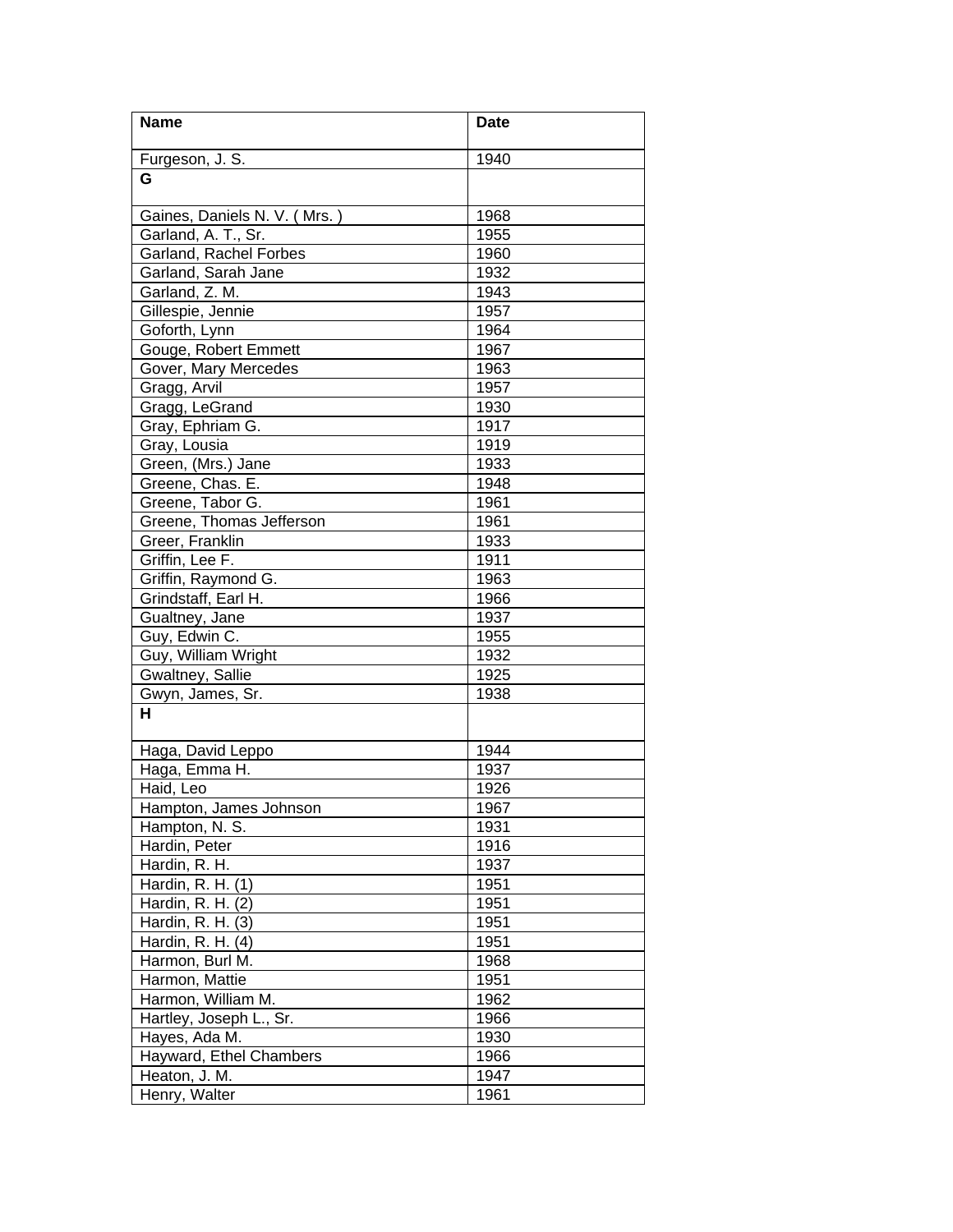| <b>Name</b>                  | <b>Date</b> |
|------------------------------|-------------|
| Furgeson, J. S.              | 1940        |
| G                            |             |
| Gaines, Daniels N. V. (Mrs.) | 1968        |
| Garland, A. T., Sr.          | 1955        |
| Garland, Rachel Forbes       | 1960        |
| Garland, Sarah Jane          | 1932        |
| Garland, Z. M.               | 1943        |
| Gillespie, Jennie            | 1957        |
| Goforth, Lynn                | 1964        |
| Gouge, Robert Emmett         | 1967        |
| Gover, Mary Mercedes         | 1963        |
| Gragg, Arvil                 | 1957        |
| Gragg, LeGrand               | 1930        |
| Gray, Ephriam G.             | 1917        |
| Gray, Lousia                 | 1919        |
| Green, (Mrs.) Jane           | 1933        |
| Greene, Chas. E.             | 1948        |
| Greene, Tabor G.             | 1961        |
| Greene, Thomas Jefferson     | 1961        |
| Greer, Franklin              | 1933        |
| Griffin, Lee F.              | 1911        |
| Griffin, Raymond G.          | 1963        |
| Grindstaff, Earl H.          | 1966        |
| Gualtney, Jane               | 1937        |
| Guy, Edwin C.                | 1955        |
| Guy, William Wright          | 1932        |
| Gwaltney, Sallie             | 1925        |
| Gwyn, James, Sr.             | 1938        |
| н                            |             |
| Haga, David Leppo            | 1944        |
| Haga, Emma H.                | 1937        |
| Haid, Leo                    | 1926        |
| Hampton, James Johnson       | 1967        |
| Hampton, N. S.               | 1931        |
| Hardin, Peter                | 1916        |
| Hardin, R. H.                | 1937        |
| Hardin, R. H. (1)            | 1951        |
| Hardin, R. H. (2)            | 1951        |
| Hardin, R. H. (3)            | 1951        |
| Hardin, R. H. (4)            | 1951        |
| Harmon, Burl M.              | 1968        |
| Harmon, Mattie               | 1951        |
| Harmon, William M.           | 1962        |
| Hartley, Joseph L., Sr.      | 1966        |
| Hayes, Ada M.                | 1930        |
| Hayward, Ethel Chambers      | 1966        |
| Heaton, J. M.                | 1947        |
| Henry, Walter                | 1961        |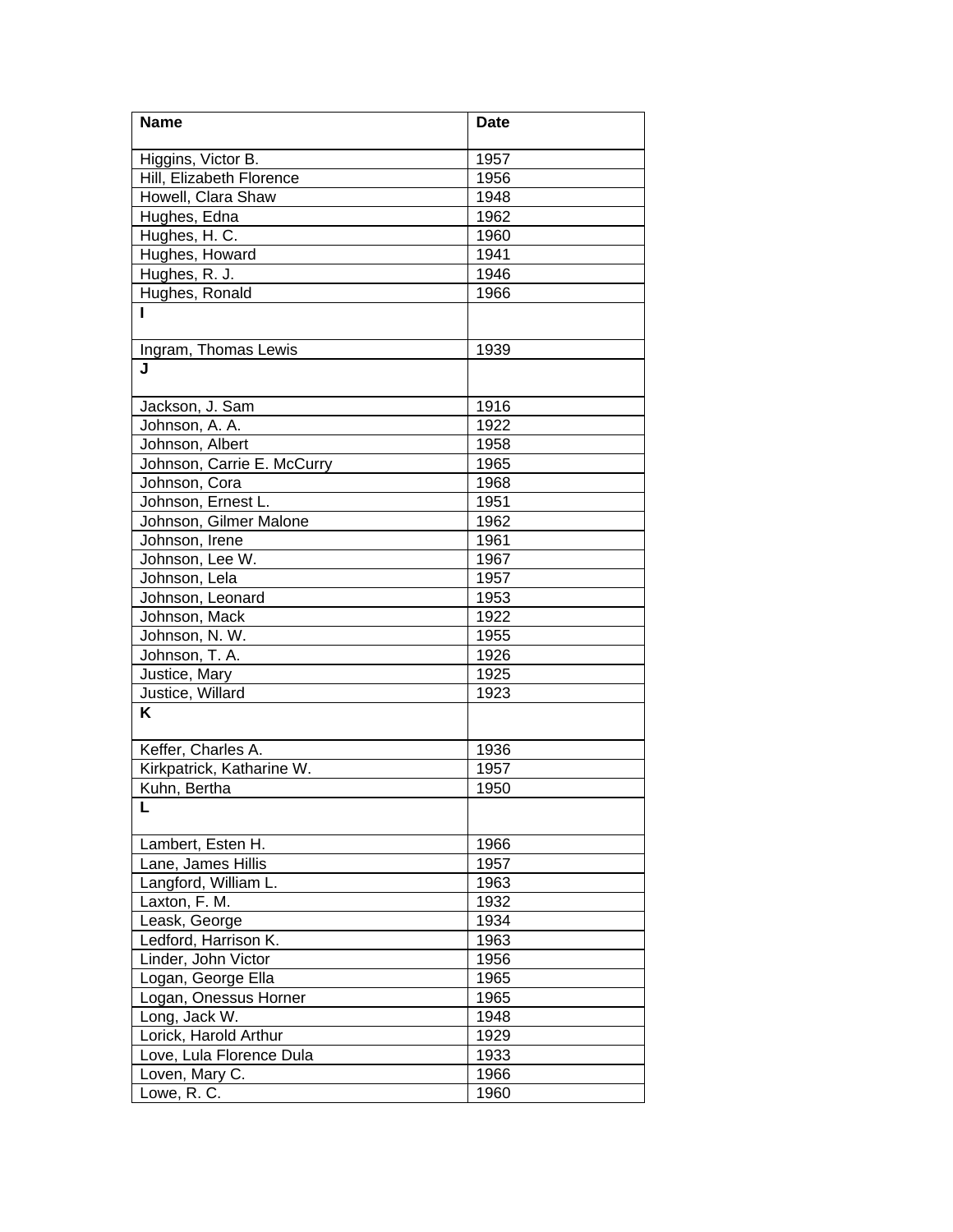| <b>Name</b>                | <b>Date</b> |
|----------------------------|-------------|
| Higgins, Victor B.         | 1957        |
|                            |             |
| Hill, Elizabeth Florence   | 1956        |
| Howell, Clara Shaw         | 1948        |
| Hughes, Edna               | 1962        |
| Hughes, H. C.              | 1960        |
| Hughes, Howard             | 1941        |
| Hughes, R. J.              | 1946        |
| Hughes, Ronald             | 1966        |
|                            |             |
| Ingram, Thomas Lewis       | 1939        |
| J                          |             |
| Jackson, J. Sam            | 1916        |
| Johnson, A. A.             | 1922        |
| Johnson, Albert            | 1958        |
| Johnson, Carrie E. McCurry | 1965        |
| Johnson, Cora              | 1968        |
| Johnson, Ernest L.         | 1951        |
| Johnson, Gilmer Malone     | 1962        |
| Johnson, Irene             | 1961        |
| Johnson, Lee W.            | 1967        |
| Johnson, Lela              | 1957        |
| Johnson, Leonard           | 1953        |
| Johnson, Mack              | 1922        |
| Johnson, N. W.             | 1955        |
| Johnson, T. A.             | 1926        |
| Justice, Mary              | 1925        |
| Justice, Willard           | 1923        |
| K                          |             |
|                            |             |
| Keffer, Charles A.         | 1936        |
| Kirkpatrick, Katharine W.  | 1957        |
| Kuhn, Bertha               | 1950        |
|                            |             |
| Lambert, Esten H.          | 1966        |
| Lane, James Hillis         | 1957        |
| Langford, William L.       | 1963        |
| Laxton, F. M.              | 1932        |
| Leask, George              | 1934        |
| Ledford, Harrison K.       | 1963        |
| Linder, John Victor        | 1956        |
| Logan, George Ella         | 1965        |
| Logan, Onessus Horner      | 1965        |
| Long, Jack W.              | 1948        |
| Lorick, Harold Arthur      | 1929        |
| Love, Lula Florence Dula   | 1933        |
| Loven, Mary C.             | 1966        |
| Lowe, R. C.                | 1960        |
|                            |             |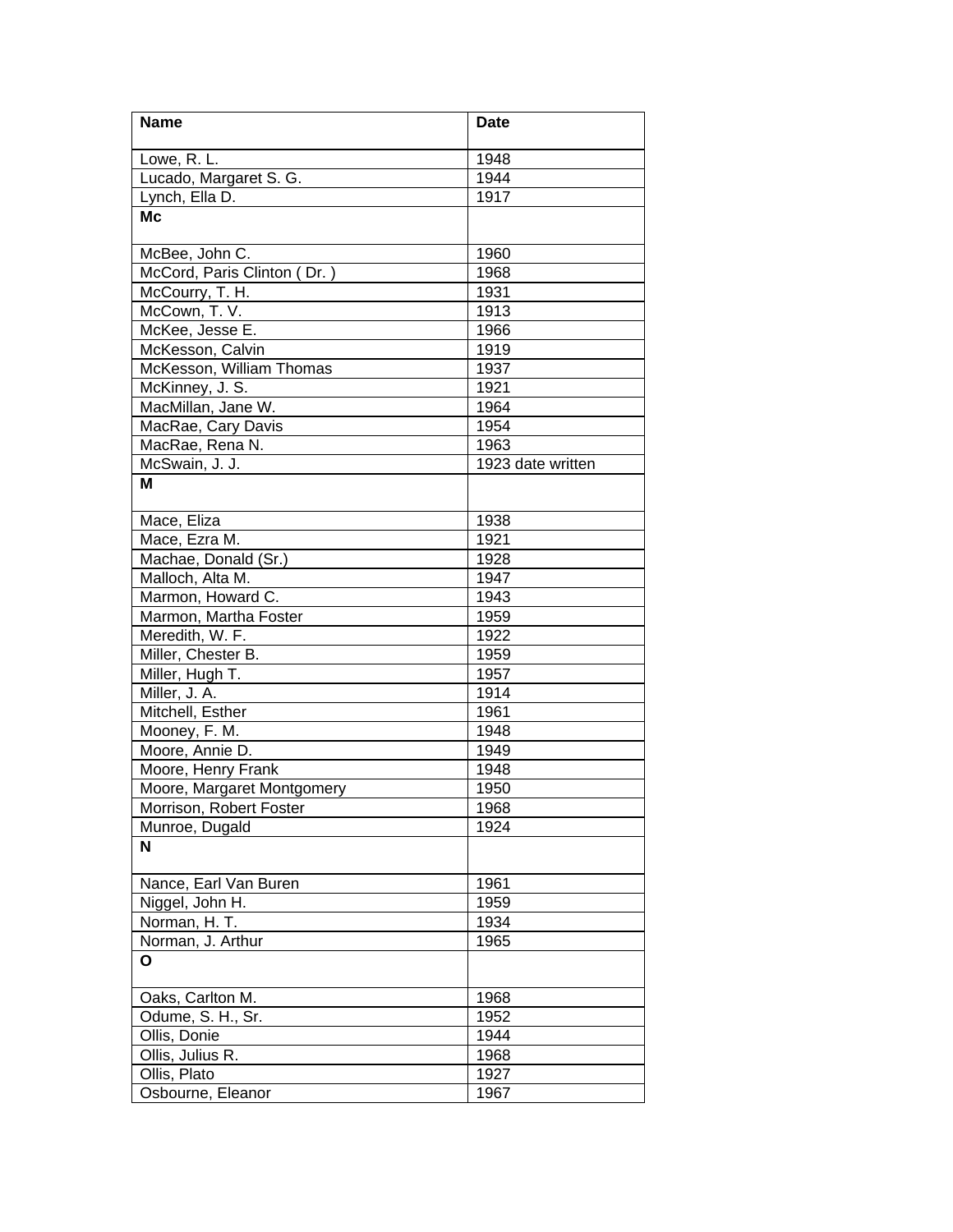| <b>Name</b>                      | <b>Date</b>       |
|----------------------------------|-------------------|
| Lowe, R. L.                      | 1948              |
|                                  | 1944              |
| Lucado, Margaret S. G.           | 1917              |
| Lynch, Ella D.                   |                   |
| <b>Mc</b>                        |                   |
| McBee, John C.                   | 1960              |
| McCord, Paris Clinton (Dr.)      | 1968              |
| McCourry, T. H.                  | 1931              |
| McCown, T. V.                    | 1913              |
| McKee, Jesse E.                  | 1966              |
| McKesson, Calvin                 | 1919              |
| McKesson, William Thomas         | 1937              |
| McKinney, J. S.                  | 1921              |
| MacMillan, Jane W.               | 1964              |
| MacRae, Cary Davis               | 1954              |
| MacRae, Rena N.                  | 1963              |
| McSwain, J. J.                   | 1923 date written |
| М                                |                   |
| Mace, Eliza                      | 1938              |
| Mace, Ezra M.                    | 1921              |
| Machae, Donald (Sr.)             | 1928              |
| Malloch, Alta M.                 | 1947              |
| Marmon, Howard C.                | 1943              |
| Marmon, Martha Foster            | 1959              |
| Meredith, W. F.                  | 1922              |
| Miller, Chester B.               | 1959              |
| Miller, Hugh T.                  | 1957              |
| Miller, J. A.                    | 1914              |
| Mitchell, Esther                 | 1961              |
|                                  | 1948              |
| Mooney, F. M.<br>Moore, Annie D. | 1949              |
| Moore, Henry Frank               | 1948              |
|                                  |                   |
| Moore, Margaret Montgomery       | 1950              |
| Morrison, Robert Foster          | 1968              |
| Munroe, Dugald                   | 1924              |
| N                                |                   |
| Nance, Earl Van Buren            | 1961              |
| Niggel, John H.                  | 1959              |
| Norman, H. T.                    | 1934              |
| Norman, J. Arthur                | 1965              |
| О                                |                   |
| Oaks, Carlton M.                 | 1968              |
| Odume, S. H., Sr.                | 1952              |
| Ollis, Donie                     | 1944              |
| Ollis, Julius R.                 | 1968              |
| Ollis, Plato                     | 1927              |
| Osbourne, Eleanor                | 1967              |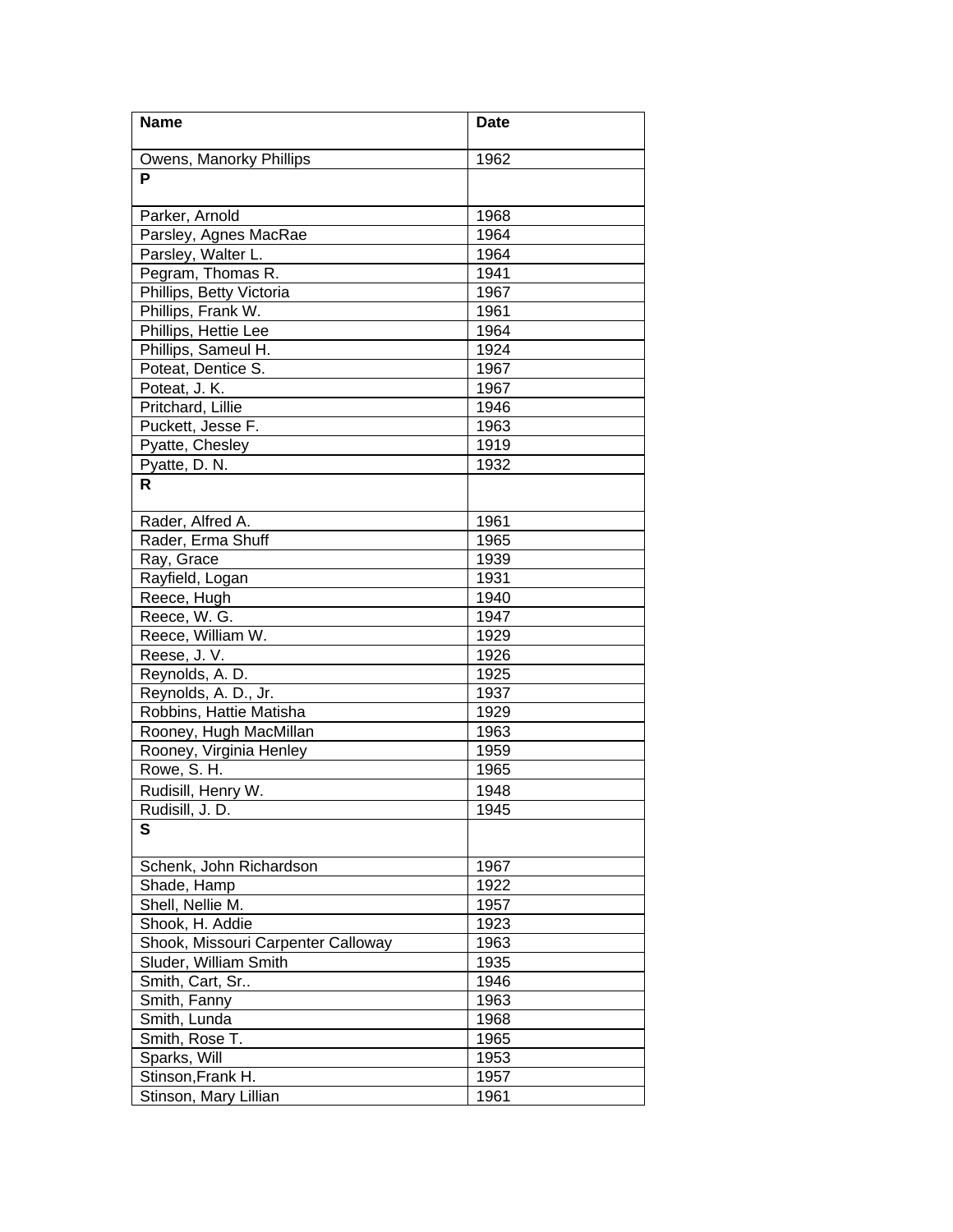| <b>Name</b>                        | <b>Date</b> |
|------------------------------------|-------------|
| Owens, Manorky Phillips            | 1962        |
| P                                  |             |
| Parker, Arnold                     | 1968        |
| Parsley, Agnes MacRae              | 1964        |
| Parsley, Walter L.                 | 1964        |
| Pegram, Thomas R.                  | 1941        |
| Phillips, Betty Victoria           | 1967        |
| Phillips, Frank W.                 | 1961        |
| Phillips, Hettie Lee               | 1964        |
| Phillips, Sameul H.                | 1924        |
| Poteat, Dentice S.                 | 1967        |
| Poteat, J. K.                      | 1967        |
| Pritchard, Lillie                  | 1946        |
| Puckett, Jesse F.                  | 1963        |
| Pyatte, Chesley                    | 1919        |
| Pyatte, D. N.                      | 1932        |
| R                                  |             |
| Rader, Alfred A.                   | 1961        |
| Rader, Erma Shuff                  | 1965        |
| Ray, Grace                         | 1939        |
| Rayfield, Logan                    | 1931        |
| Reece, Hugh                        | 1940        |
| Reece, W. G.                       | 1947        |
| Reece, William W.                  | 1929        |
| Reese, J. V.                       | 1926        |
| Reynolds, A. D.                    | 1925        |
| Reynolds, A. D., Jr.               | 1937        |
| Robbins, Hattie Matisha            | 1929        |
| Rooney, Hugh MacMillan             | 1963        |
| Rooney, Virginia Henley            | 1959        |
| Rowe, S. H.                        | 1965        |
| Rudisill, Henry W.                 | 1948        |
| Rudisill, J. D.                    | 1945        |
| S                                  |             |
| Schenk, John Richardson            | 1967        |
| Shade, Hamp                        | 1922        |
| Shell, Nellie M.                   | 1957        |
| Shook, H. Addie                    | 1923        |
| Shook, Missouri Carpenter Calloway | 1963        |
| Sluder, William Smith              | 1935        |
| Smith, Cart, Sr                    | 1946        |
| Smith, Fanny                       | 1963        |
| Smith, Lunda                       | 1968        |
| Smith, Rose T.                     | 1965        |
| Sparks, Will                       | 1953        |
| Stinson, Frank H.                  | 1957        |
| Stinson, Mary Lillian              | 1961        |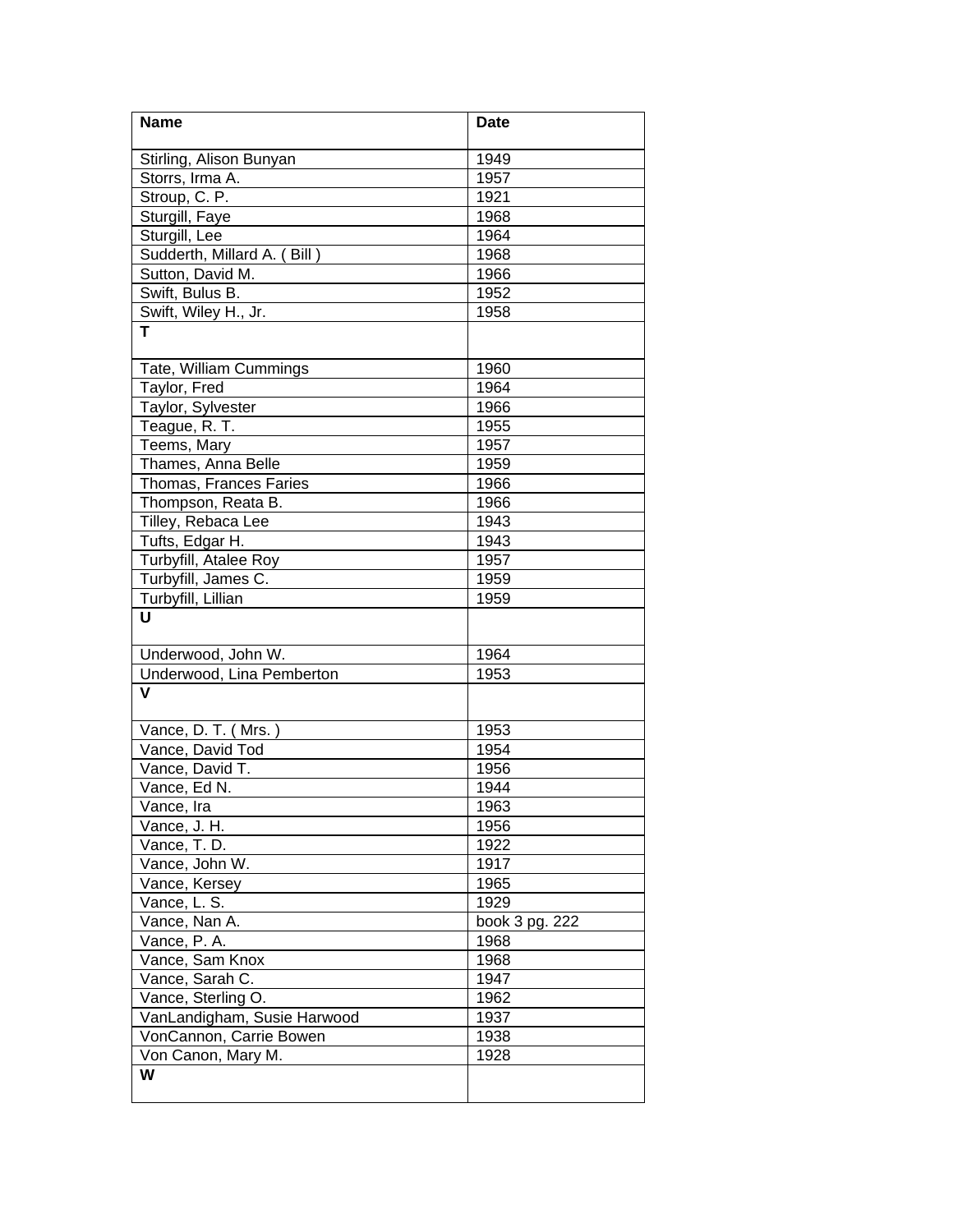| <b>Name</b>                 | <b>Date</b>    |
|-----------------------------|----------------|
| Stirling, Alison Bunyan     | 1949           |
| Storrs, Irma A.             | 1957           |
| Stroup, C. P.               | 1921           |
| Sturgill, Faye              | 1968           |
| Sturgill, Lee               | 1964           |
| Sudderth, Millard A. (Bill) | 1968           |
| Sutton, David M.            | 1966           |
| Swift, Bulus B.             | 1952           |
| Swift, Wiley H., Jr.        | 1958           |
| T.                          |                |
| Tate, William Cummings      | 1960           |
| Taylor, Fred                | 1964           |
| Taylor, Sylvester           | 1966           |
| Teague, R. T.               | 1955           |
| Teems, Mary                 | 1957           |
| Thames, Anna Belle          | 1959           |
| Thomas, Frances Faries      | 1966           |
| Thompson, Reata B.          | 1966           |
| Tilley, Rebaca Lee          | 1943           |
| Tufts, Edgar H.             | 1943           |
| Turbyfill, Atalee Roy       | 1957           |
| Turbyfill, James C.         | 1959           |
| Turbyfill, Lillian          | 1959           |
| U                           |                |
| Underwood, John W.          | 1964           |
| Underwood, Lina Pemberton   | 1953           |
| V                           |                |
| Vance, D. T. (Mrs.)         | 1953           |
| Vance, David Tod            | 1954           |
| Vance, David T.             | 1956           |
| Vance, Ed N.                | 1944           |
| Vance, Ira                  | 1963           |
| Vance, J. H.                | 1956           |
| Vance, T. D.                | 1922           |
| Vance, John W.              | 1917           |
| Vance, Kersey               | 1965           |
| Vance, L. S.                | 1929           |
| Vance, Nan A.               | book 3 pg. 222 |
| Vance, P. A.                | 1968           |
| Vance, Sam Knox             | 1968           |
| Vance, Sarah C.             | 1947           |
| Vance, Sterling O.          | 1962           |
| VanLandigham, Susie Harwood | 1937           |
| VonCannon, Carrie Bowen     | 1938           |
| Von Canon, Mary M.          | 1928           |
| W                           |                |